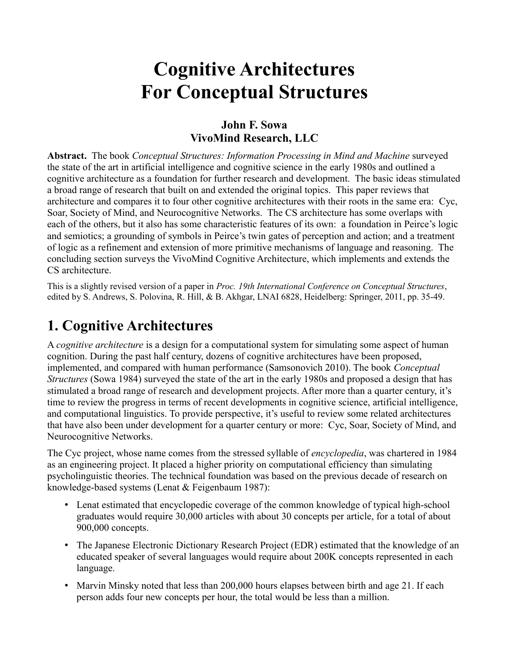# **Cognitive Architectures For Conceptual Structures**

#### **John F. Sowa VivoMind Research, LLC**

**Abstract.** The book *Conceptual Structures: Information Processing in Mind and Machine* surveyed the state of the art in artificial intelligence and cognitive science in the early 1980s and outlined a cognitive architecture as a foundation for further research and development. The basic ideas stimulated a broad range of research that built on and extended the original topics. This paper reviews that architecture and compares it to four other cognitive architectures with their roots in the same era: Cyc, Soar, Society of Mind, and Neurocognitive Networks. The CS architecture has some overlaps with each of the others, but it also has some characteristic features of its own: a foundation in Peirce's logic and semiotics; a grounding of symbols in Peirce's twin gates of perception and action; and a treatment of logic as a refinement and extension of more primitive mechanisms of language and reasoning. The concluding section surveys the VivoMind Cognitive Architecture, which implements and extends the CS architecture.

This is a slightly revised version of a paper in *Proc. 19th International Conference on Conceptual Structures*, edited by S. Andrews, S. Polovina, R. Hill, & B. Akhgar, LNAI 6828, Heidelberg: Springer, 2011, pp. 35-49.

### **1. Cognitive Architectures**

A *cognitive architecture* is a design for a computational system for simulating some aspect of human cognition. During the past half century, dozens of cognitive architectures have been proposed, implemented, and compared with human performance (Samsonovich 2010). The book *Conceptual Structures* (Sowa 1984) surveyed the state of the art in the early 1980s and proposed a design that has stimulated a broad range of research and development projects. After more than a quarter century, it's time to review the progress in terms of recent developments in cognitive science, artificial intelligence, and computational linguistics. To provide perspective, it's useful to review some related architectures that have also been under development for a quarter century or more: Cyc, Soar, Society of Mind, and Neurocognitive Networks.

The Cyc project, whose name comes from the stressed syllable of *encyclopedia*, was chartered in 1984 as an engineering project. It placed a higher priority on computational efficiency than simulating psycholinguistic theories. The technical foundation was based on the previous decade of research on knowledge-based systems (Lenat & Feigenbaum 1987):

- Lenat estimated that encyclopedic coverage of the common knowledge of typical high-school graduates would require 30,000 articles with about 30 concepts per article, for a total of about 900,000 concepts.
- The Japanese Electronic Dictionary Research Project (EDR) estimated that the knowledge of an educated speaker of several languages would require about 200K concepts represented in each language.
- Marvin Minsky noted that less than 200,000 hours elapses between birth and age 21. If each person adds four new concepts per hour, the total would be less than a million.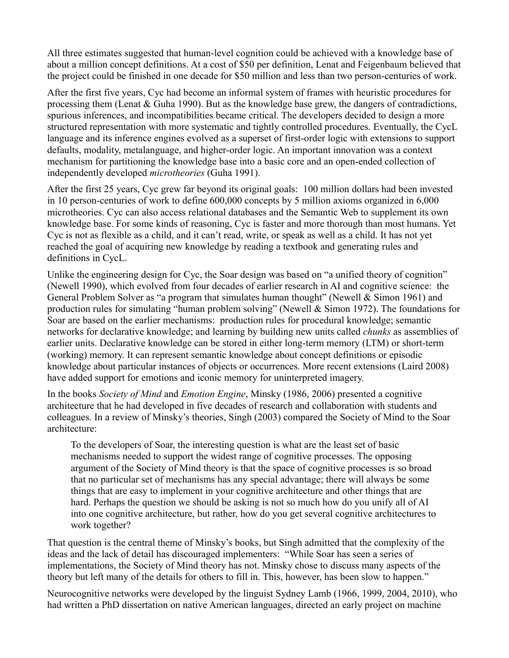All three estimates suggested that human-level cognition could be achieved with a knowledge base of about a million concept definitions. At a cost of \$50 per definition, Lenat and Feigenbaum believed that the project could be finished in one decade for \$50 million and less than two person-centuries of work.

After the first five years, Cyc had become an informal system of frames with heuristic procedures for processing them (Lenat & Guha 1990). But as the knowledge base grew, the dangers of contradictions, spurious inferences, and incompatibilities became critical. The developers decided to design a more structured representation with more systematic and tightly controlled procedures. Eventually, the CycL language and its inference engines evolved as a superset of first-order logic with extensions to support defaults, modality, metalanguage, and higher-order logic. An important innovation was a context mechanism for partitioning the knowledge base into a basic core and an open-ended collection of independently developed *microtheories* (Guha 1991).

After the first 25 years, Cyc grew far beyond its original goals: 100 million dollars had been invested in 10 person-centuries of work to define 600,000 concepts by 5 million axioms organized in 6,000 microtheories. Cyc can also access relational databases and the Semantic Web to supplement its own knowledge base. For some kinds of reasoning, Cyc is faster and more thorough than most humans. Yet Cyc is not as flexible as a child, and it can't read, write, or speak as well as a child. It has not yet reached the goal of acquiring new knowledge by reading a textbook and generating rules and definitions in CycL.

Unlike the engineering design for Cyc, the Soar design was based on "a unified theory of cognition" (Newell 1990), which evolved from four decades of earlier research in AI and cognitive science: the General Problem Solver as "a program that simulates human thought" (Newell & Simon 1961) and production rules for simulating "human problem solving" (Newell & Simon 1972). The foundations for Soar are based on the earlier mechanisms: production rules for procedural knowledge; semantic networks for declarative knowledge; and learning by building new units called *chunks* as assemblies of earlier units. Declarative knowledge can be stored in either long-term memory (LTM) or short-term (working) memory. It can represent semantic knowledge about concept definitions or episodic knowledge about particular instances of objects or occurrences. More recent extensions (Laird 2008) have added support for emotions and iconic memory for uninterpreted imagery.

In the books *Society of Mind* and *Emotion Engine*, Minsky (1986, 2006) presented a cognitive architecture that he had developed in five decades of research and collaboration with students and colleagues. In a review of Minsky's theories, Singh (2003) compared the Society of Mind to the Soar architecture:

To the developers of Soar, the interesting question is what are the least set of basic mechanisms needed to support the widest range of cognitive processes. The opposing argument of the Society of Mind theory is that the space of cognitive processes is so broad that no particular set of mechanisms has any special advantage; there will always be some things that are easy to implement in your cognitive architecture and other things that are hard. Perhaps the question we should be asking is not so much how do you unify all of AI into one cognitive architecture, but rather, how do you get several cognitive architectures to work together?

That question is the central theme of Minsky's books, but Singh admitted that the complexity of the ideas and the lack of detail has discouraged implementers: "While Soar has seen a series of implementations, the Society of Mind theory has not. Minsky chose to discuss many aspects of the theory but left many of the details for others to fill in. This, however, has been slow to happen."

Neurocognitive networks were developed by the linguist Sydney Lamb (1966, 1999, 2004, 2010), who had written a PhD dissertation on native American languages, directed an early project on machine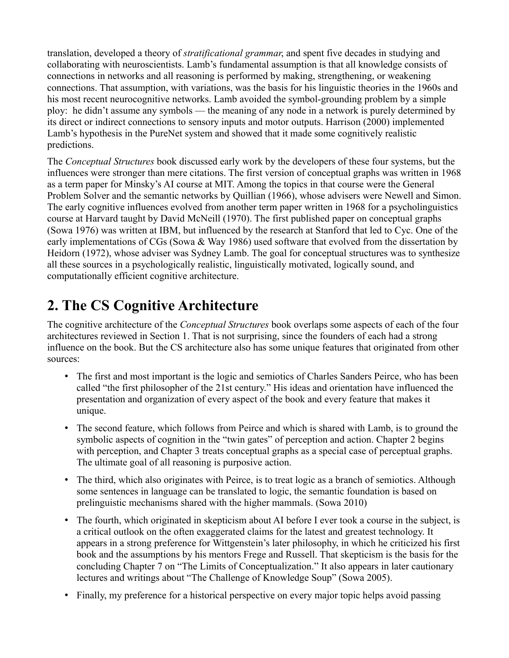translation, developed a theory of *stratificational grammar*, and spent five decades in studying and collaborating with neuroscientists. Lamb's fundamental assumption is that all knowledge consists of connections in networks and all reasoning is performed by making, strengthening, or weakening connections. That assumption, with variations, was the basis for his linguistic theories in the 1960s and his most recent neurocognitive networks. Lamb avoided the symbol-grounding problem by a simple ploy: he didn't assume any symbols — the meaning of any node in a network is purely determined by its direct or indirect connections to sensory inputs and motor outputs. Harrison (2000) implemented Lamb's hypothesis in the PureNet system and showed that it made some cognitively realistic predictions.

The *Conceptual Structures* book discussed early work by the developers of these four systems, but the influences were stronger than mere citations. The first version of conceptual graphs was written in 1968 as a term paper for Minsky's AI course at MIT. Among the topics in that course were the General Problem Solver and the semantic networks by Quillian (1966), whose advisers were Newell and Simon. The early cognitive influences evolved from another term paper written in 1968 for a psycholinguistics course at Harvard taught by David McNeill (1970). The first published paper on conceptual graphs (Sowa 1976) was written at IBM, but influenced by the research at Stanford that led to Cyc. One of the early implementations of CGs (Sowa & Way 1986) used software that evolved from the dissertation by Heidorn (1972), whose adviser was Sydney Lamb. The goal for conceptual structures was to synthesize all these sources in a psychologically realistic, linguistically motivated, logically sound, and computationally efficient cognitive architecture.

### **2. The CS Cognitive Architecture**

The cognitive architecture of the *Conceptual Structures* book overlaps some aspects of each of the four architectures reviewed in Section 1. That is not surprising, since the founders of each had a strong influence on the book. But the CS architecture also has some unique features that originated from other sources:

- The first and most important is the logic and semiotics of Charles Sanders Peirce, who has been called "the first philosopher of the 21st century." His ideas and orientation have influenced the presentation and organization of every aspect of the book and every feature that makes it unique.
- The second feature, which follows from Peirce and which is shared with Lamb, is to ground the symbolic aspects of cognition in the "twin gates" of perception and action. Chapter 2 begins with perception, and Chapter 3 treats conceptual graphs as a special case of perceptual graphs. The ultimate goal of all reasoning is purposive action.
- The third, which also originates with Peirce, is to treat logic as a branch of semiotics. Although some sentences in language can be translated to logic, the semantic foundation is based on prelinguistic mechanisms shared with the higher mammals. (Sowa 2010)
- The fourth, which originated in skepticism about AI before I ever took a course in the subject, is a critical outlook on the often exaggerated claims for the latest and greatest technology. It appears in a strong preference for Wittgenstein's later philosophy, in which he criticized his first book and the assumptions by his mentors Frege and Russell. That skepticism is the basis for the concluding Chapter 7 on "The Limits of Conceptualization." It also appears in later cautionary lectures and writings about "The Challenge of Knowledge Soup" (Sowa 2005).
- Finally, my preference for a historical perspective on every major topic helps avoid passing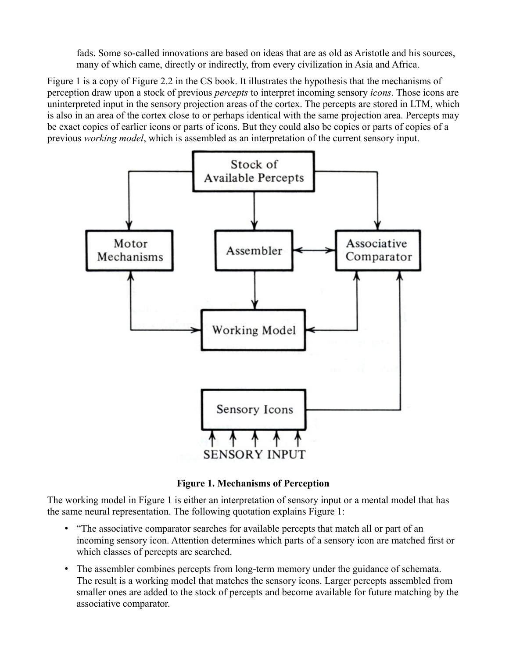fads. Some so-called innovations are based on ideas that are as old as Aristotle and his sources, many of which came, directly or indirectly, from every civilization in Asia and Africa.

Figure 1 is a copy of Figure 2.2 in the CS book. It illustrates the hypothesis that the mechanisms of perception draw upon a stock of previous *percepts* to interpret incoming sensory *icons*. Those icons are uninterpreted input in the sensory projection areas of the cortex. The percepts are stored in LTM, which is also in an area of the cortex close to or perhaps identical with the same projection area. Percepts may be exact copies of earlier icons or parts of icons. But they could also be copies or parts of copies of a previous *working model*, which is assembled as an interpretation of the current sensory input.



**Figure 1. Mechanisms of Perception**

The working model in Figure 1 is either an interpretation of sensory input or a mental model that has the same neural representation. The following quotation explains Figure 1:

- "The associative comparator searches for available percepts that match all or part of an incoming sensory icon. Attention determines which parts of a sensory icon are matched first or which classes of percepts are searched.
- The assembler combines percepts from long-term memory under the guidance of schemata. The result is a working model that matches the sensory icons. Larger percepts assembled from smaller ones are added to the stock of percepts and become available for future matching by the associative comparator.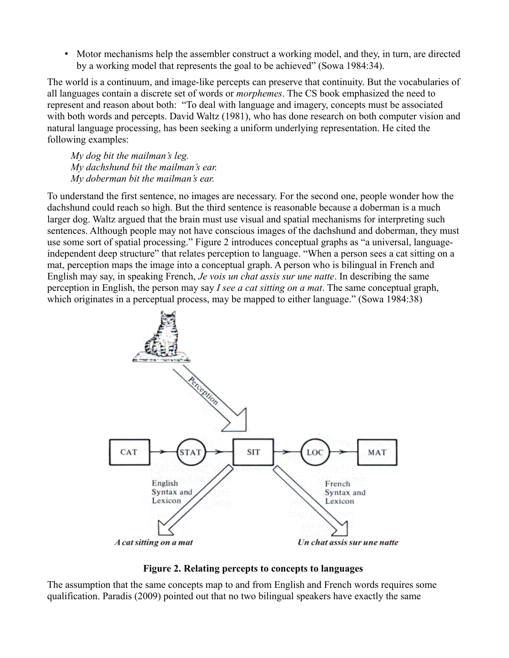• Motor mechanisms help the assembler construct a working model, and they, in turn, are directed by a working model that represents the goal to be achieved" (Sowa 1984:34).

The world is a continuum, and image-like percepts can preserve that continuity. But the vocabularies of all languages contain a discrete set of words or *morphemes*. The CS book emphasized the need to represent and reason about both: "To deal with language and imagery, concepts must be associated with both words and percepts. David Waltz (1981), who has done research on both computer vision and natural language processing, has been seeking a uniform underlying representation. He cited the following examples:

*My dog bit the mailman's leg. My dachshund bit the mailman's ear. My doberman bit the mailman's ear.*

To understand the first sentence, no images are necessary. For the second one, people wonder how the dachshund could reach so high. But the third sentence is reasonable because a doberman is a much larger dog. Waltz argued that the brain must use visual and spatial mechanisms for interpreting such sentences. Although people may not have conscious images of the dachshund and doberman, they must use some sort of spatial processing." Figure 2 introduces conceptual graphs as "a universal, languageindependent deep structure" that relates perception to language. "When a person sees a cat sitting on a mat, perception maps the image into a conceptual graph. A person who is bilingual in French and English may say, in speaking French, *Je vois un chat assis sur une natte*. In describing the same perception in English, the person may say *I see a cat sitting on a mat*. The same conceptual graph, which originates in a perceptual process, may be mapped to either language." (Sowa 1984:38)



**Figure 2. Relating percepts to concepts to languages**

The assumption that the same concepts map to and from English and French words requires some qualification. Paradis (2009) pointed out that no two bilingual speakers have exactly the same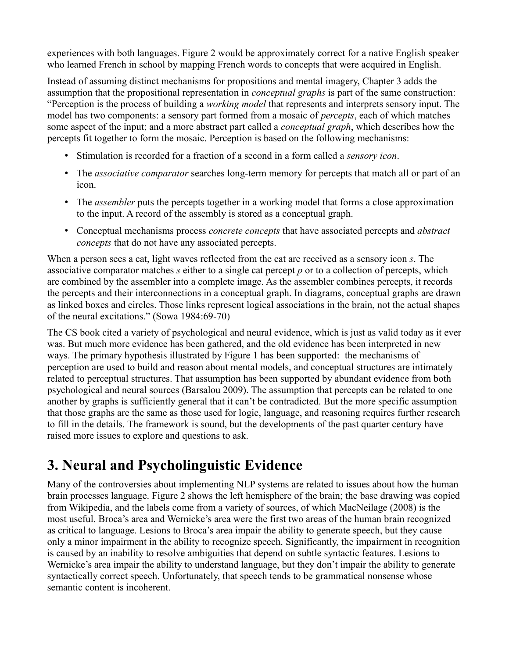experiences with both languages. Figure 2 would be approximately correct for a native English speaker who learned French in school by mapping French words to concepts that were acquired in English.

Instead of assuming distinct mechanisms for propositions and mental imagery, Chapter 3 adds the assumption that the propositional representation in *conceptual graphs* is part of the same construction: "Perception is the process of building a *working model* that represents and interprets sensory input. The model has two components: a sensory part formed from a mosaic of *percepts*, each of which matches some aspect of the input; and a more abstract part called a *conceptual graph*, which describes how the percepts fit together to form the mosaic. Perception is based on the following mechanisms:

- Stimulation is recorded for a fraction of a second in a form called a *sensory icon*.
- The *associative comparator* searches long-term memory for percepts that match all or part of an icon.
- The *assembler* puts the percepts together in a working model that forms a close approximation to the input. A record of the assembly is stored as a conceptual graph.
- Conceptual mechanisms process *concrete concepts* that have associated percepts and *abstract concepts* that do not have any associated percepts.

When a person sees a cat, light waves reflected from the cat are received as a sensory icon *s*. The associative comparator matches *s* either to a single cat percept *p* or to a collection of percepts, which are combined by the assembler into a complete image. As the assembler combines percepts, it records the percepts and their interconnections in a conceptual graph. In diagrams, conceptual graphs are drawn as linked boxes and circles. Those links represent logical associations in the brain, not the actual shapes of the neural excitations." (Sowa 1984:69-70)

The CS book cited a variety of psychological and neural evidence, which is just as valid today as it ever was. But much more evidence has been gathered, and the old evidence has been interpreted in new ways. The primary hypothesis illustrated by Figure 1 has been supported: the mechanisms of perception are used to build and reason about mental models, and conceptual structures are intimately related to perceptual structures. That assumption has been supported by abundant evidence from both psychological and neural sources (Barsalou 2009). The assumption that percepts can be related to one another by graphs is sufficiently general that it can't be contradicted. But the more specific assumption that those graphs are the same as those used for logic, language, and reasoning requires further research to fill in the details. The framework is sound, but the developments of the past quarter century have raised more issues to explore and questions to ask.

## **3. Neural and Psycholinguistic Evidence**

Many of the controversies about implementing NLP systems are related to issues about how the human brain processes language. Figure 2 shows the left hemisphere of the brain; the base drawing was copied from Wikipedia, and the labels come from a variety of sources, of which MacNeilage (2008) is the most useful. Broca's area and Wernicke's area were the first two areas of the human brain recognized as critical to language. Lesions to Broca's area impair the ability to generate speech, but they cause only a minor impairment in the ability to recognize speech. Significantly, the impairment in recognition is caused by an inability to resolve ambiguities that depend on subtle syntactic features. Lesions to Wernicke's area impair the ability to understand language, but they don't impair the ability to generate syntactically correct speech. Unfortunately, that speech tends to be grammatical nonsense whose semantic content is incoherent.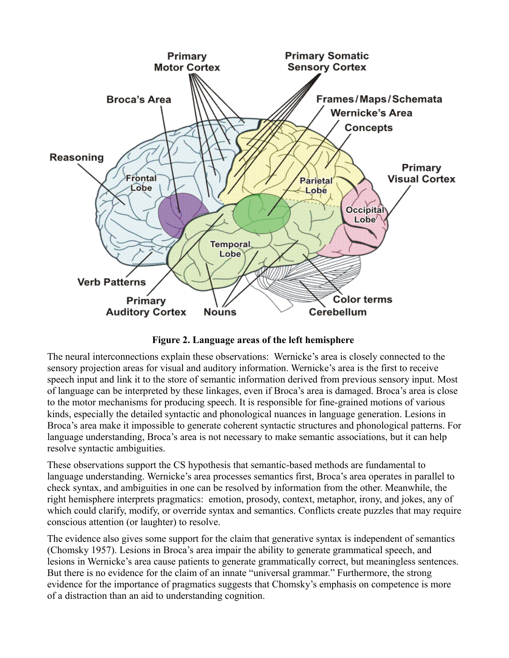

**Figure 2. Language areas of the left hemisphere**

The neural interconnections explain these observations: Wernicke's area is closely connected to the sensory projection areas for visual and auditory information. Wernicke's area is the first to receive speech input and link it to the store of semantic information derived from previous sensory input. Most of language can be interpreted by these linkages, even if Broca's area is damaged. Broca's area is close to the motor mechanisms for producing speech. It is responsible for fine-grained motions of various kinds, especially the detailed syntactic and phonological nuances in language generation. Lesions in Broca's area make it impossible to generate coherent syntactic structures and phonological patterns. For language understanding, Broca's area is not necessary to make semantic associations, but it can help resolve syntactic ambiguities.

These observations support the CS hypothesis that semantic-based methods are fundamental to language understanding. Wernicke's area processes semantics first, Broca's area operates in parallel to check syntax, and ambiguities in one can be resolved by information from the other. Meanwhile, the right hemisphere interprets pragmatics: emotion, prosody, context, metaphor, irony, and jokes, any of which could clarify, modify, or override syntax and semantics. Conflicts create puzzles that may require conscious attention (or laughter) to resolve.

The evidence also gives some support for the claim that generative syntax is independent of semantics (Chomsky 1957). Lesions in Broca's area impair the ability to generate grammatical speech, and lesions in Wernicke's area cause patients to generate grammatically correct, but meaningless sentences. But there is no evidence for the claim of an innate "universal grammar." Furthermore, the strong evidence for the importance of pragmatics suggests that Chomsky's emphasis on competence is more of a distraction than an aid to understanding cognition.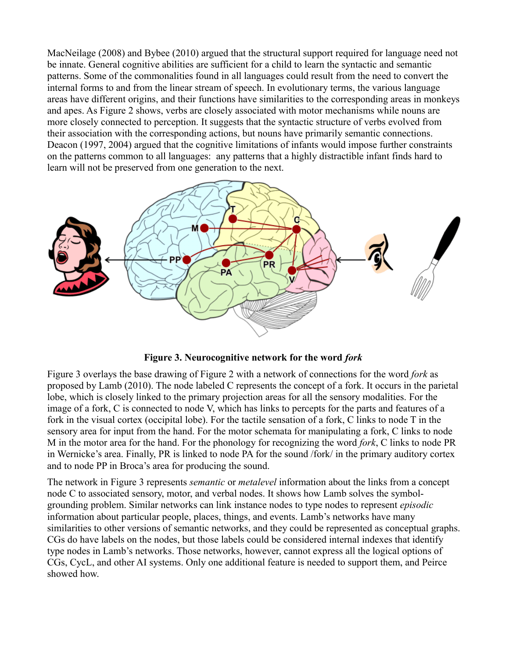MacNeilage (2008) and Bybee (2010) argued that the structural support required for language need not be innate. General cognitive abilities are sufficient for a child to learn the syntactic and semantic patterns. Some of the commonalities found in all languages could result from the need to convert the internal forms to and from the linear stream of speech. In evolutionary terms, the various language areas have different origins, and their functions have similarities to the corresponding areas in monkeys and apes. As Figure 2 shows, verbs are closely associated with motor mechanisms while nouns are more closely connected to perception. It suggests that the syntactic structure of verbs evolved from their association with the corresponding actions, but nouns have primarily semantic connections. Deacon (1997, 2004) argued that the cognitive limitations of infants would impose further constraints on the patterns common to all languages: any patterns that a highly distractible infant finds hard to learn will not be preserved from one generation to the next.



**Figure 3. Neurocognitive network for the word** *fork*

Figure 3 overlays the base drawing of Figure 2 with a network of connections for the word *fork* as proposed by Lamb (2010). The node labeled C represents the concept of a fork. It occurs in the parietal lobe, which is closely linked to the primary projection areas for all the sensory modalities. For the image of a fork, C is connected to node V, which has links to percepts for the parts and features of a fork in the visual cortex (occipital lobe). For the tactile sensation of a fork, C links to node T in the sensory area for input from the hand. For the motor schemata for manipulating a fork, C links to node M in the motor area for the hand. For the phonology for recognizing the word *fork*, C links to node PR in Wernicke's area. Finally, PR is linked to node PA for the sound /fork/ in the primary auditory cortex and to node PP in Broca's area for producing the sound.

The network in Figure 3 represents *semantic* or *metalevel* information about the links from a concept node C to associated sensory, motor, and verbal nodes. It shows how Lamb solves the symbolgrounding problem. Similar networks can link instance nodes to type nodes to represent *episodic* information about particular people, places, things, and events. Lamb's networks have many similarities to other versions of semantic networks, and they could be represented as conceptual graphs. CGs do have labels on the nodes, but those labels could be considered internal indexes that identify type nodes in Lamb's networks. Those networks, however, cannot express all the logical options of CGs, CycL, and other AI systems. Only one additional feature is needed to support them, and Peirce showed how.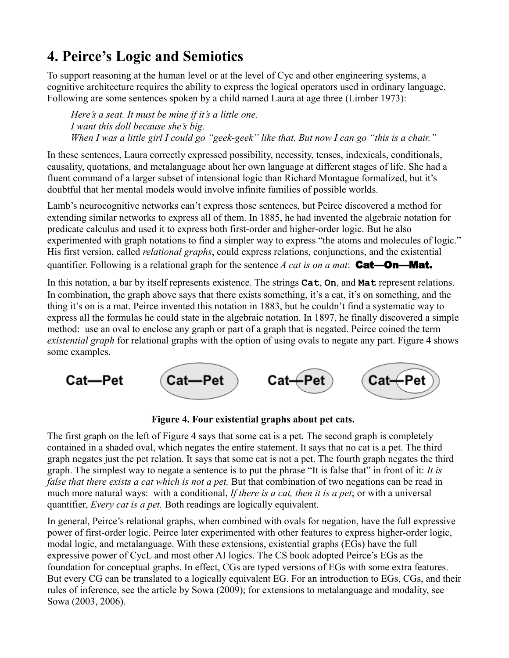#### **4. Peirce's Logic and Semiotics**

To support reasoning at the human level or at the level of Cyc and other engineering systems, a cognitive architecture requires the ability to express the logical operators used in ordinary language. Following are some sentences spoken by a child named Laura at age three (Limber 1973):

*Here's a seat. It must be mine if it's a little one. I want this doll because she's big. When I was a little girl I could go "geek-geek" like that. But now I can go "this is a chair."*

In these sentences, Laura correctly expressed possibility, necessity, tenses, indexicals, conditionals, causality, quotations, and metalanguage about her own language at different stages of life. She had a fluent command of a larger subset of intensional logic than Richard Montague formalized, but it's doubtful that her mental models would involve infinite families of possible worlds.

Lamb's neurocognitive networks can't express those sentences, but Peirce discovered a method for extending similar networks to express all of them. In 1885, he had invented the algebraic notation for predicate calculus and used it to express both first-order and higher-order logic. But he also experimented with graph notations to find a simpler way to express "the atoms and molecules of logic." His first version, called *relational graphs*, could express relations, conjunctions, and the existential quantifier. Following is a relational graph for the sentence *A cat is on a mat*: **Cat—On—Mat.** 

In this notation, a bar by itself represents existence. The strings **Cat**, **On**, and **Mat** represent relations. In combination, the graph above says that there exists something, it's a cat, it's on something, and the thing it's on is a mat. Peirce invented this notation in 1883, but he couldn't find a systematic way to express all the formulas he could state in the algebraic notation. In 1897, he finally discovered a simple method: use an oval to enclose any graph or part of a graph that is negated. Peirce coined the term *existential graph* for relational graphs with the option of using ovals to negate any part. Figure 4 shows some examples.



**Figure 4. Four existential graphs about pet cats.**

The first graph on the left of Figure 4 says that some cat is a pet. The second graph is completely contained in a shaded oval, which negates the entire statement. It says that no cat is a pet. The third graph negates just the pet relation. It says that some cat is not a pet. The fourth graph negates the third graph. The simplest way to negate a sentence is to put the phrase "It is false that" in front of it: *It is false that there exists a cat which is not a pet.* But that combination of two negations can be read in much more natural ways: with a conditional, *If there is a cat, then it is a pet*; or with a universal quantifier, *Every cat is a pet.* Both readings are logically equivalent.

In general, Peirce's relational graphs, when combined with ovals for negation, have the full expressive power of first-order logic. Peirce later experimented with other features to express higher-order logic, modal logic, and metalanguage. With these extensions, existential graphs (EGs) have the full expressive power of CycL and most other AI logics. The CS book adopted Peirce's EGs as the foundation for conceptual graphs. In effect, CGs are typed versions of EGs with some extra features. But every CG can be translated to a logically equivalent EG. For an introduction to EGs, CGs, and their rules of inference, see the article by Sowa (2009); for extensions to metalanguage and modality, see Sowa (2003, 2006).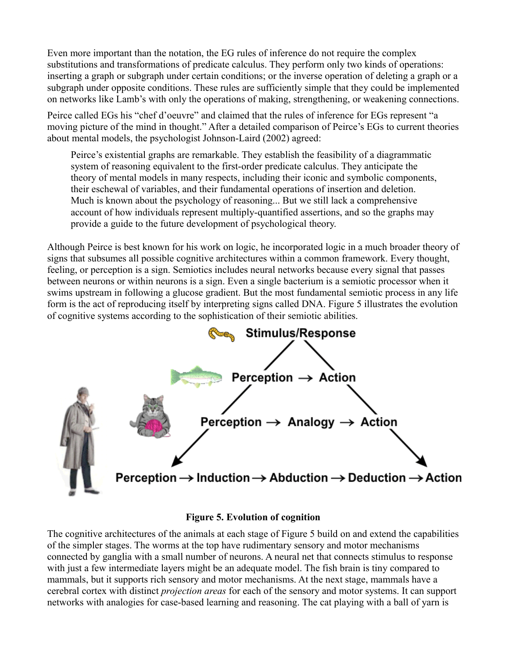Even more important than the notation, the EG rules of inference do not require the complex substitutions and transformations of predicate calculus. They perform only two kinds of operations: inserting a graph or subgraph under certain conditions; or the inverse operation of deleting a graph or a subgraph under opposite conditions. These rules are sufficiently simple that they could be implemented on networks like Lamb's with only the operations of making, strengthening, or weakening connections.

Peirce called EGs his "chef d'oeuvre" and claimed that the rules of inference for EGs represent "a moving picture of the mind in thought." After a detailed comparison of Peirce's EGs to current theories about mental models, the psychologist Johnson-Laird (2002) agreed:

Peirce's existential graphs are remarkable. They establish the feasibility of a diagrammatic system of reasoning equivalent to the first-order predicate calculus. They anticipate the theory of mental models in many respects, including their iconic and symbolic components, their eschewal of variables, and their fundamental operations of insertion and deletion. Much is known about the psychology of reasoning... But we still lack a comprehensive account of how individuals represent multiply-quantified assertions, and so the graphs may provide a guide to the future development of psychological theory.

Although Peirce is best known for his work on logic, he incorporated logic in a much broader theory of signs that subsumes all possible cognitive architectures within a common framework. Every thought, feeling, or perception is a sign. Semiotics includes neural networks because every signal that passes between neurons or within neurons is a sign. Even a single bacterium is a semiotic processor when it swims upstream in following a glucose gradient. But the most fundamental semiotic process in any life form is the act of reproducing itself by interpreting signs called DNA. Figure 5 illustrates the evolution of cognitive systems according to the sophistication of their semiotic abilities.



#### **Figure 5. Evolution of cognition**

The cognitive architectures of the animals at each stage of Figure 5 build on and extend the capabilities of the simpler stages. The worms at the top have rudimentary sensory and motor mechanisms connected by ganglia with a small number of neurons. A neural net that connects stimulus to response with just a few intermediate layers might be an adequate model. The fish brain is tiny compared to mammals, but it supports rich sensory and motor mechanisms. At the next stage, mammals have a cerebral cortex with distinct *projection areas* for each of the sensory and motor systems. It can support networks with analogies for case-based learning and reasoning. The cat playing with a ball of yarn is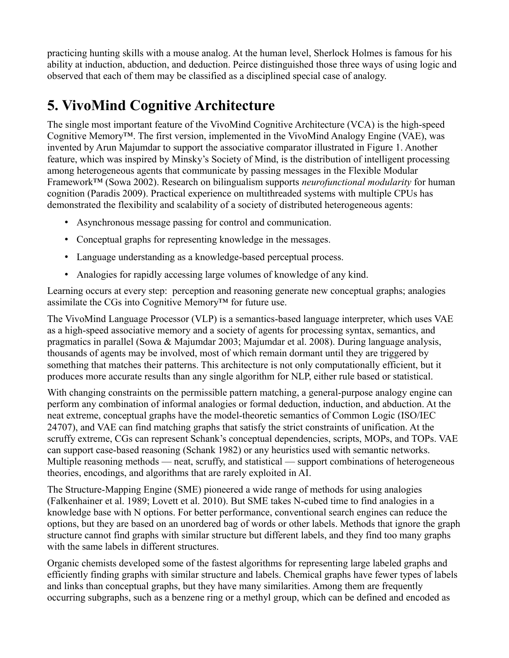practicing hunting skills with a mouse analog. At the human level, Sherlock Holmes is famous for his ability at induction, abduction, and deduction. Peirce distinguished those three ways of using logic and observed that each of them may be classified as a disciplined special case of analogy.

#### **5. VivoMind Cognitive Architecture**

The single most important feature of the VivoMind Cognitive Architecture (VCA) is the high-speed Cognitive Memory™. The first version, implemented in the VivoMind Analogy Engine (VAE), was invented by Arun Majumdar to support the associative comparator illustrated in Figure 1. Another feature, which was inspired by Minsky's Society of Mind, is the distribution of intelligent processing among heterogeneous agents that communicate by passing messages in the Flexible Modular Framework™ (Sowa 2002). Research on bilingualism supports *neurofunctional modularity* for human cognition (Paradis 2009). Practical experience on multithreaded systems with multiple CPUs has demonstrated the flexibility and scalability of a society of distributed heterogeneous agents:

- Asynchronous message passing for control and communication.
- Conceptual graphs for representing knowledge in the messages.
- Language understanding as a knowledge-based perceptual process.
- Analogies for rapidly accessing large volumes of knowledge of any kind.

Learning occurs at every step: perception and reasoning generate new conceptual graphs; analogies assimilate the CGs into Cognitive Memory™ for future use.

The VivoMind Language Processor (VLP) is a semantics-based language interpreter, which uses VAE as a high-speed associative memory and a society of agents for processing syntax, semantics, and pragmatics in parallel (Sowa & Majumdar 2003; Majumdar et al. 2008). During language analysis, thousands of agents may be involved, most of which remain dormant until they are triggered by something that matches their patterns. This architecture is not only computationally efficient, but it produces more accurate results than any single algorithm for NLP, either rule based or statistical.

With changing constraints on the permissible pattern matching, a general-purpose analogy engine can perform any combination of informal analogies or formal deduction, induction, and abduction. At the neat extreme, conceptual graphs have the model-theoretic semantics of Common Logic (ISO/IEC 24707), and VAE can find matching graphs that satisfy the strict constraints of unification. At the scruffy extreme, CGs can represent Schank's conceptual dependencies, scripts, MOPs, and TOPs. VAE can support case-based reasoning (Schank 1982) or any heuristics used with semantic networks. Multiple reasoning methods — neat, scruffy, and statistical — support combinations of heterogeneous theories, encodings, and algorithms that are rarely exploited in AI.

The Structure-Mapping Engine (SME) pioneered a wide range of methods for using analogies (Falkenhainer et al. 1989; Lovett et al. 2010). But SME takes N-cubed time to find analogies in a knowledge base with N options. For better performance, conventional search engines can reduce the options, but they are based on an unordered bag of words or other labels. Methods that ignore the graph structure cannot find graphs with similar structure but different labels, and they find too many graphs with the same labels in different structures.

Organic chemists developed some of the fastest algorithms for representing large labeled graphs and efficiently finding graphs with similar structure and labels. Chemical graphs have fewer types of labels and links than conceptual graphs, but they have many similarities. Among them are frequently occurring subgraphs, such as a benzene ring or a methyl group, which can be defined and encoded as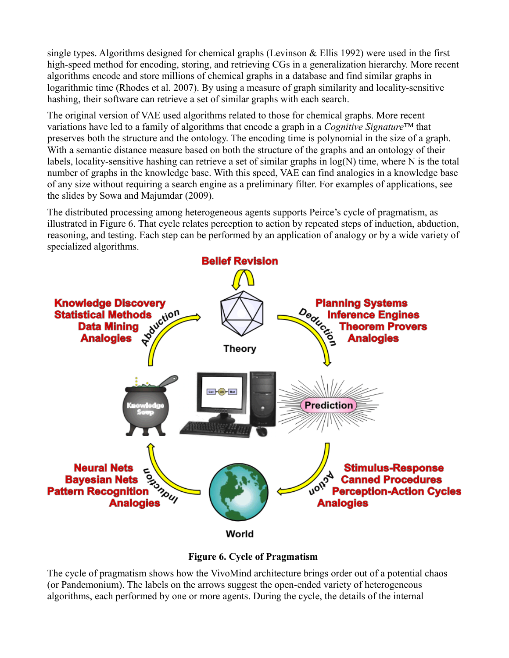single types. Algorithms designed for chemical graphs (Levinson & Ellis 1992) were used in the first high-speed method for encoding, storing, and retrieving CGs in a generalization hierarchy. More recent algorithms encode and store millions of chemical graphs in a database and find similar graphs in logarithmic time (Rhodes et al. 2007). By using a measure of graph similarity and locality-sensitive hashing, their software can retrieve a set of similar graphs with each search.

The original version of VAE used algorithms related to those for chemical graphs. More recent variations have led to a family of algorithms that encode a graph in a *Cognitive Signature*™ that preserves both the structure and the ontology. The encoding time is polynomial in the size of a graph. With a semantic distance measure based on both the structure of the graphs and an ontology of their labels, locality-sensitive hashing can retrieve a set of similar graphs in log(N) time, where N is the total number of graphs in the knowledge base. With this speed, VAE can find analogies in a knowledge base of any size without requiring a search engine as a preliminary filter. For examples of applications, see the slides by Sowa and Majumdar (2009).

The distributed processing among heterogeneous agents supports Peirce's cycle of pragmatism, as illustrated in Figure 6. That cycle relates perception to action by repeated steps of induction, abduction, reasoning, and testing. Each step can be performed by an application of analogy or by a wide variety of specialized algorithms.



**Figure 6. Cycle of Pragmatism**

The cycle of pragmatism shows how the VivoMind architecture brings order out of a potential chaos (or Pandemonium). The labels on the arrows suggest the open-ended variety of heterogeneous algorithms, each performed by one or more agents. During the cycle, the details of the internal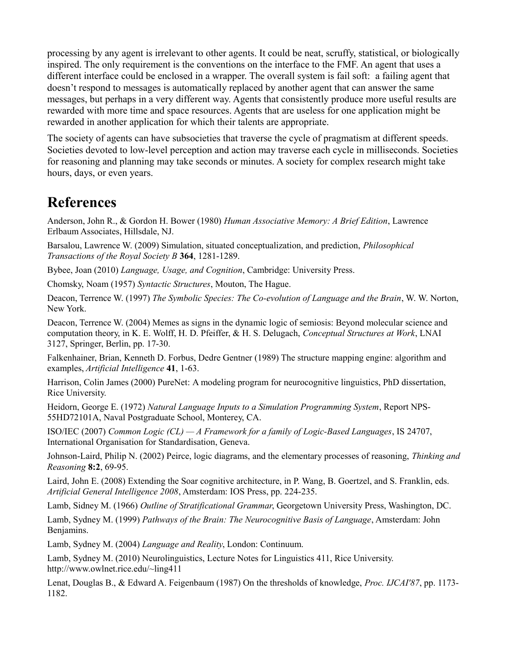processing by any agent is irrelevant to other agents. It could be neat, scruffy, statistical, or biologically inspired. The only requirement is the conventions on the interface to the FMF. An agent that uses a different interface could be enclosed in a wrapper. The overall system is fail soft: a failing agent that doesn't respond to messages is automatically replaced by another agent that can answer the same messages, but perhaps in a very different way. Agents that consistently produce more useful results are rewarded with more time and space resources. Agents that are useless for one application might be rewarded in another application for which their talents are appropriate.

The society of agents can have subsocieties that traverse the cycle of pragmatism at different speeds. Societies devoted to low-level perception and action may traverse each cycle in milliseconds. Societies for reasoning and planning may take seconds or minutes. A society for complex research might take hours, days, or even years.

#### **References**

Anderson, John R., & Gordon H. Bower (1980) *Human Associative Memory: A Brief Edition*, Lawrence Erlbaum Associates, Hillsdale, NJ.

Barsalou, Lawrence W. (2009) Simulation, situated conceptualization, and prediction, *Philosophical Transactions of the Royal Society B* **364**, 1281-1289.

Bybee, Joan (2010) *Language, Usage, and Cognition*, Cambridge: University Press.

Chomsky, Noam (1957) *Syntactic Structures*, Mouton, The Hague.

Deacon, Terrence W. (1997) *The Symbolic Species: The Co-evolution of Language and the Brain*, W. W. Norton, New York.

Deacon, Terrence W. (2004) Memes as signs in the dynamic logic of semiosis: Beyond molecular science and computation theory, in K. E. Wolff, H. D. Pfeiffer, & H. S. Delugach, *Conceptual Structures at Work*, LNAI 3127, Springer, Berlin, pp. 17-30.

Falkenhainer, Brian, Kenneth D. Forbus, Dedre Gentner (1989) The structure mapping engine: algorithm and examples, *Artificial Intelligence* **41**, 1-63.

Harrison, Colin James (2000) PureNet: A modeling program for neurocognitive linguistics, PhD dissertation, Rice University.

Heidorn, George E. (1972) *Natural Language Inputs to a Simulation Programming System*, Report NPS-55HD72101A, Naval Postgraduate School, Monterey, CA.

ISO/IEC (2007) *Common Logic (CL) — A Framework for a family of Logic-Based Languages*, IS 24707, International Organisation for Standardisation, Geneva.

Johnson-Laird, Philip N. (2002) Peirce, logic diagrams, and the elementary processes of reasoning, *Thinking and Reasoning* **8:2**, 69-95.

Laird, John E. (2008) Extending the Soar cognitive architecture, in P. Wang, B. Goertzel, and S. Franklin, eds. *Artificial General Intelligence 2008*, Amsterdam: IOS Press, pp. 224-235.

Lamb, Sidney M. (1966) *Outline of Stratificational Grammar*, Georgetown University Press, Washington, DC.

Lamb, Sydney M. (1999) *Pathways of the Brain: The Neurocognitive Basis of Language*, Amsterdam: John Benjamins.

Lamb, Sydney M. (2004) *Language and Reality*, London: Continuum.

Lamb, Sydney M. (2010) Neurolinguistics, Lecture Notes for Linguistics 411, Rice University. http://www.owlnet.rice.edu/~ling411

Lenat, Douglas B., & Edward A. Feigenbaum (1987) On the thresholds of knowledge, *Proc. IJCAI'87*, pp. 1173- 1182.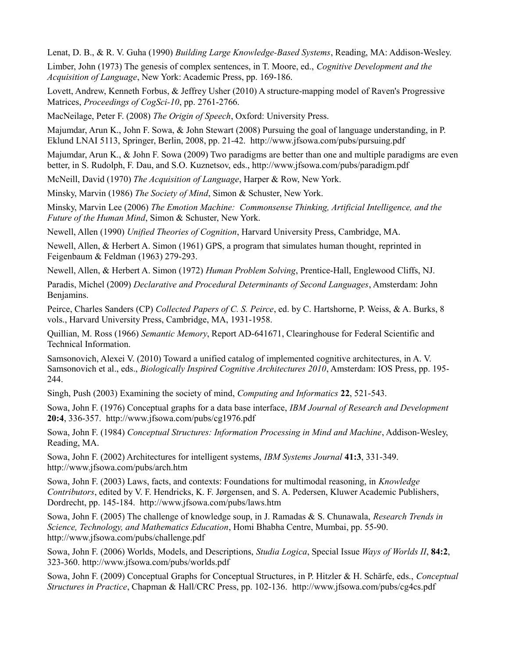Lenat, D. B., & R. V. Guha (1990) *Building Large Knowledge-Based Systems*, Reading, MA: Addison-Wesley.

Limber, John (1973) The genesis of complex sentences, in T. Moore, ed., *Cognitive Development and the Acquisition of Language*, New York: Academic Press, pp. 169-186.

Lovett, Andrew, Kenneth Forbus, & Jeffrey Usher (2010) A structure-mapping model of Raven's Progressive Matrices, *Proceedings of CogSci-10*, pp. 2761-2766.

MacNeilage, Peter F. (2008) *The Origin of Speech*, Oxford: University Press.

Majumdar, Arun K., John F. Sowa, & John Stewart (2008) Pursuing the goal of language understanding, in P. Eklund LNAI 5113, Springer, Berlin, 2008, pp. 21-42. http://www.jfsowa.com/pubs/pursuing.pdf

Majumdar, Arun K., & John F. Sowa (2009) Two paradigms are better than one and multiple paradigms are even better, in S. Rudolph, F. Dau, and S.O. Kuznetsov, eds., http://www.jfsowa.com/pubs/paradigm.pdf

McNeill, David (1970) *The Acquisition of Language*, Harper & Row, New York.

Minsky, Marvin (1986) *The Society of Mind*, Simon & Schuster, New York.

Minsky, Marvin Lee (2006) *The Emotion Machine: Commonsense Thinking, Artificial Intelligence, and the Future of the Human Mind*, Simon & Schuster, New York.

Newell, Allen (1990) *Unified Theories of Cognition*, Harvard University Press, Cambridge, MA.

Newell, Allen, & Herbert A. Simon (1961) GPS, a program that simulates human thought, reprinted in Feigenbaum & Feldman (1963) 279-293.

Newell, Allen, & Herbert A. Simon (1972) *Human Problem Solving*, Prentice-Hall, Englewood Cliffs, NJ.

Paradis, Michel (2009) *Declarative and Procedural Determinants of Second Languages*, Amsterdam: John Benjamins.

Peirce, Charles Sanders (CP) *Collected Papers of C. S. Peirce*, ed. by C. Hartshorne, P. Weiss, & A. Burks, 8 vols., Harvard University Press, Cambridge, MA, 1931-1958.

Quillian, M. Ross (1966) *Semantic Memory*, Report AD-641671, Clearinghouse for Federal Scientific and Technical Information.

Samsonovich, Alexei V. (2010) Toward a unified catalog of implemented cognitive architectures, in A. V. Samsonovich et al., eds., *Biologically Inspired Cognitive Architectures 2010*, Amsterdam: IOS Press, pp. 195- 244.

Singh, Push (2003) Examining the society of mind, *Computing and Informatics* **22**, 521-543.

Sowa, John F. (1976) Conceptual graphs for a data base interface, *IBM Journal of Research and Development* **20:4**, 336-357. http://www.jfsowa.com/pubs/cg1976.pdf

Sowa, John F. (1984) *Conceptual Structures: Information Processing in Mind and Machine*, Addison-Wesley, Reading, MA.

Sowa, John F. (2002) Architectures for intelligent systems, *IBM Systems Journal* **41:3**, 331-349. http://www.jfsowa.com/pubs/arch.htm

Sowa, John F. (2003) Laws, facts, and contexts: Foundations for multimodal reasoning, in *Knowledge Contributors*, edited by V. F. Hendricks, K. F. Jørgensen, and S. A. Pedersen, Kluwer Academic Publishers, Dordrecht, pp. 145-184. http://www.jfsowa.com/pubs/laws.htm

Sowa, John F. (2005) The challenge of knowledge soup, in J. Ramadas & S. Chunawala, *Research Trends in Science, Technology, and Mathematics Education*, Homi Bhabha Centre, Mumbai, pp. 55-90. http://www.jfsowa.com/pubs/challenge.pdf

Sowa, John F. (2006) Worlds, Models, and Descriptions, *Studia Logica*, Special Issue *Ways of Worlds II*, **84:2**, 323-360. http://www.jfsowa.com/pubs/worlds.pdf

Sowa, John F. (2009) Conceptual Graphs for Conceptual Structures, in P. Hitzler & H. Schärfe, eds., *Conceptual Structures in Practice*, Chapman & Hall/CRC Press, pp. 102-136. http://www.jfsowa.com/pubs/cg4cs.pdf